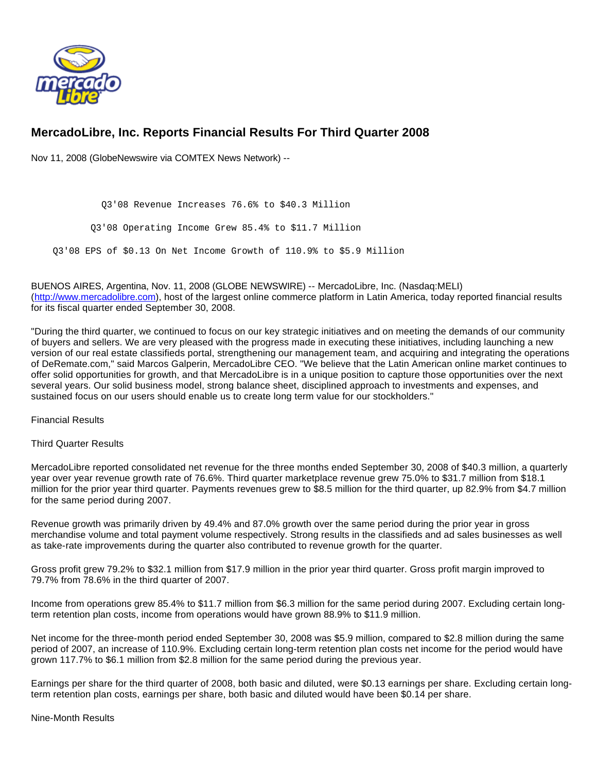

# **MercadoLibre, Inc. Reports Financial Results For Third Quarter 2008**

Nov 11, 2008 (GlobeNewswire via COMTEX News Network) --

 Q3'08 Revenue Increases 76.6% to \$40.3 Million Q3'08 Operating Income Grew 85.4% to \$11.7 Million Q3'08 EPS of \$0.13 On Net Income Growth of 110.9% to \$5.9 Million

BUENOS AIRES, Argentina, Nov. 11, 2008 (GLOBE NEWSWIRE) -- MercadoLibre, Inc. (Nasdaq:MELI) [\(http://www.mercadolibre.com\)](http://www.mercadolibre.com/), host of the largest online commerce platform in Latin America, today reported financial results for its fiscal quarter ended September 30, 2008.

"During the third quarter, we continued to focus on our key strategic initiatives and on meeting the demands of our community of buyers and sellers. We are very pleased with the progress made in executing these initiatives, including launching a new version of our real estate classifieds portal, strengthening our management team, and acquiring and integrating the operations of DeRemate.com," said Marcos Galperin, MercadoLibre CEO. "We believe that the Latin American online market continues to offer solid opportunities for growth, and that MercadoLibre is in a unique position to capture those opportunities over the next several years. Our solid business model, strong balance sheet, disciplined approach to investments and expenses, and sustained focus on our users should enable us to create long term value for our stockholders."

Financial Results

Third Quarter Results

MercadoLibre reported consolidated net revenue for the three months ended September 30, 2008 of \$40.3 million, a quarterly year over year revenue growth rate of 76.6%. Third quarter marketplace revenue grew 75.0% to \$31.7 million from \$18.1 million for the prior year third quarter. Payments revenues grew to \$8.5 million for the third quarter, up 82.9% from \$4.7 million for the same period during 2007.

Revenue growth was primarily driven by 49.4% and 87.0% growth over the same period during the prior year in gross merchandise volume and total payment volume respectively. Strong results in the classifieds and ad sales businesses as well as take-rate improvements during the quarter also contributed to revenue growth for the quarter.

Gross profit grew 79.2% to \$32.1 million from \$17.9 million in the prior year third quarter. Gross profit margin improved to 79.7% from 78.6% in the third quarter of 2007.

Income from operations grew 85.4% to \$11.7 million from \$6.3 million for the same period during 2007. Excluding certain longterm retention plan costs, income from operations would have grown 88.9% to \$11.9 million.

Net income for the three-month period ended September 30, 2008 was \$5.9 million, compared to \$2.8 million during the same period of 2007, an increase of 110.9%. Excluding certain long-term retention plan costs net income for the period would have grown 117.7% to \$6.1 million from \$2.8 million for the same period during the previous year.

Earnings per share for the third quarter of 2008, both basic and diluted, were \$0.13 earnings per share. Excluding certain longterm retention plan costs, earnings per share, both basic and diluted would have been \$0.14 per share.

Nine-Month Results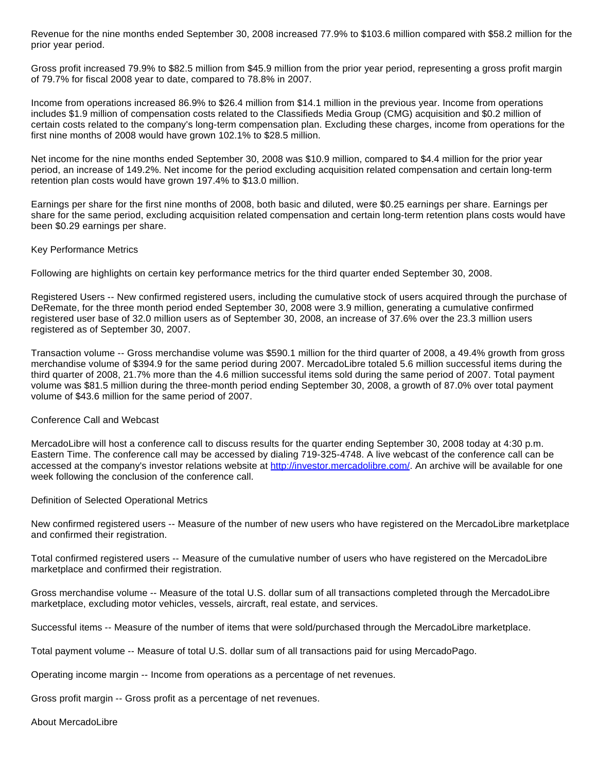Revenue for the nine months ended September 30, 2008 increased 77.9% to \$103.6 million compared with \$58.2 million for the prior year period.

Gross profit increased 79.9% to \$82.5 million from \$45.9 million from the prior year period, representing a gross profit margin of 79.7% for fiscal 2008 year to date, compared to 78.8% in 2007.

Income from operations increased 86.9% to \$26.4 million from \$14.1 million in the previous year. Income from operations includes \$1.9 million of compensation costs related to the Classifieds Media Group (CMG) acquisition and \$0.2 million of certain costs related to the company's long-term compensation plan. Excluding these charges, income from operations for the first nine months of 2008 would have grown 102.1% to \$28.5 million.

Net income for the nine months ended September 30, 2008 was \$10.9 million, compared to \$4.4 million for the prior year period, an increase of 149.2%. Net income for the period excluding acquisition related compensation and certain long-term retention plan costs would have grown 197.4% to \$13.0 million.

Earnings per share for the first nine months of 2008, both basic and diluted, were \$0.25 earnings per share. Earnings per share for the same period, excluding acquisition related compensation and certain long-term retention plans costs would have been \$0.29 earnings per share.

## Key Performance Metrics

Following are highlights on certain key performance metrics for the third quarter ended September 30, 2008.

Registered Users -- New confirmed registered users, including the cumulative stock of users acquired through the purchase of DeRemate, for the three month period ended September 30, 2008 were 3.9 million, generating a cumulative confirmed registered user base of 32.0 million users as of September 30, 2008, an increase of 37.6% over the 23.3 million users registered as of September 30, 2007.

Transaction volume -- Gross merchandise volume was \$590.1 million for the third quarter of 2008, a 49.4% growth from gross merchandise volume of \$394.9 for the same period during 2007. MercadoLibre totaled 5.6 million successful items during the third quarter of 2008, 21.7% more than the 4.6 million successful items sold during the same period of 2007. Total payment volume was \$81.5 million during the three-month period ending September 30, 2008, a growth of 87.0% over total payment volume of \$43.6 million for the same period of 2007.

# Conference Call and Webcast

MercadoLibre will host a conference call to discuss results for the quarter ending September 30, 2008 today at 4:30 p.m. Eastern Time. The conference call may be accessed by dialing 719-325-4748. A live webcast of the conference call can be accessed at the company's investor relations website at <http://investor.mercadolibre.com/>. An archive will be available for one week following the conclusion of the conference call.

Definition of Selected Operational Metrics

New confirmed registered users -- Measure of the number of new users who have registered on the MercadoLibre marketplace and confirmed their registration.

Total confirmed registered users -- Measure of the cumulative number of users who have registered on the MercadoLibre marketplace and confirmed their registration.

Gross merchandise volume -- Measure of the total U.S. dollar sum of all transactions completed through the MercadoLibre marketplace, excluding motor vehicles, vessels, aircraft, real estate, and services.

Successful items -- Measure of the number of items that were sold/purchased through the MercadoLibre marketplace.

Total payment volume -- Measure of total U.S. dollar sum of all transactions paid for using MercadoPago.

Operating income margin -- Income from operations as a percentage of net revenues.

Gross profit margin -- Gross profit as a percentage of net revenues.

About MercadoLibre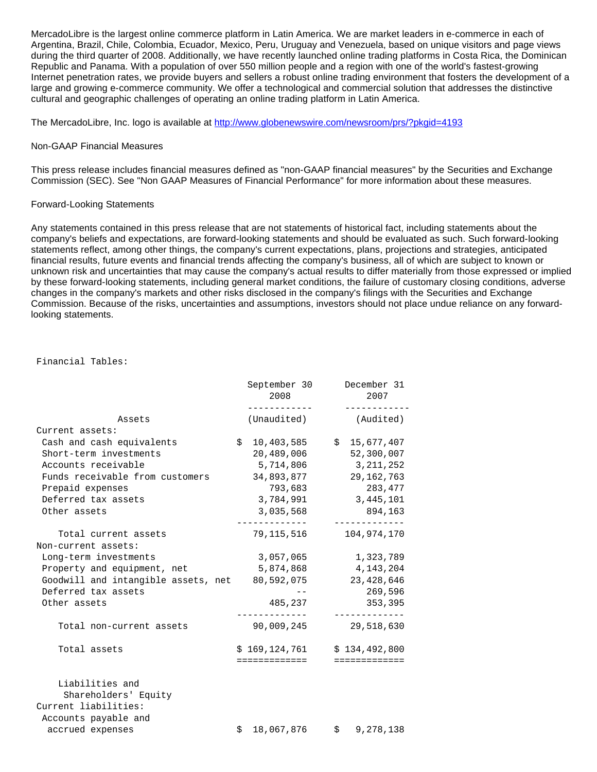MercadoLibre is the largest online commerce platform in Latin America. We are market leaders in e-commerce in each of Argentina, Brazil, Chile, Colombia, Ecuador, Mexico, Peru, Uruguay and Venezuela, based on unique visitors and page views during the third quarter of 2008. Additionally, we have recently launched online trading platforms in Costa Rica, the Dominican Republic and Panama. With a population of over 550 million people and a region with one of the world's fastest-growing Internet penetration rates, we provide buyers and sellers a robust online trading environment that fosters the development of a large and growing e-commerce community. We offer a technological and commercial solution that addresses the distinctive cultural and geographic challenges of operating an online trading platform in Latin America.

The MercadoLibre, Inc. logo is available at <http://www.globenewswire.com/newsroom/prs/?pkgid=4193>

### Non-GAAP Financial Measures

This press release includes financial measures defined as "non-GAAP financial measures" by the Securities and Exchange Commission (SEC). See "Non GAAP Measures of Financial Performance" for more information about these measures.

## Forward-Looking Statements

Any statements contained in this press release that are not statements of historical fact, including statements about the company's beliefs and expectations, are forward-looking statements and should be evaluated as such. Such forward-looking statements reflect, among other things, the company's current expectations, plans, projections and strategies, anticipated financial results, future events and financial trends affecting the company's business, all of which are subject to known or unknown risk and uncertainties that may cause the company's actual results to differ materially from those expressed or implied by these forward-looking statements, including general market conditions, the failure of customary closing conditions, adverse changes in the company's markets and other risks disclosed in the company's filings with the Securities and Exchange Commission. Because of the risks, uncertainties and assumptions, investors should not place undue reliance on any forwardlooking statements.

#### Financial Tables:

|                                                                                         | September 30<br>2008<br>----------- | December 31<br>2007<br>.             |
|-----------------------------------------------------------------------------------------|-------------------------------------|--------------------------------------|
| Assets                                                                                  | (Unaudited)                         | (Audited)                            |
| Current assets:                                                                         |                                     |                                      |
| Cash and cash equivalents                                                               | \$<br>10,403,585                    | \$15,677,407                         |
| Short-term investments                                                                  | 20,489,006                          | 52,300,007                           |
| Accounts receivable                                                                     | 5,714,806                           | 3,211,252                            |
| Funds receivable from customers                                                         | 34,893,877                          | 29, 162, 763                         |
| Prepaid expenses                                                                        | 793,683                             | 283,477                              |
| Deferred tax assets                                                                     | 3,784,991                           | 3,445,101                            |
| Other assets                                                                            | 3,035,568                           | 894,163<br>. _ _ _ _ _ _ _ _ _ _ _ . |
| Total current assets<br>Non-current assets:                                             | 79,115,516                          | 104, 974, 170                        |
| Long-term investments                                                                   | 3,057,065                           | 1,323,789                            |
| Property and equipment, net                                                             | 5,874,868                           | 4,143,204                            |
| Goodwill and intangible assets, net                                                     | 80,592,075                          | 23, 428, 646                         |
| Deferred tax assets                                                                     |                                     | 269,596                              |
| Other assets                                                                            | 485,237                             | 353,395                              |
| Total non-current assets                                                                | 90,009,245                          | 29,518,630                           |
| Total assets                                                                            | \$169,124,761                       | \$134,492,800                        |
|                                                                                         | =============                       | =============                        |
| Liabilities and<br>Shareholders' Equity<br>Current liabilities:<br>Accounts payable and |                                     |                                      |
| accrued expenses                                                                        | \$<br>18,067,876 \$ 9,278,138       |                                      |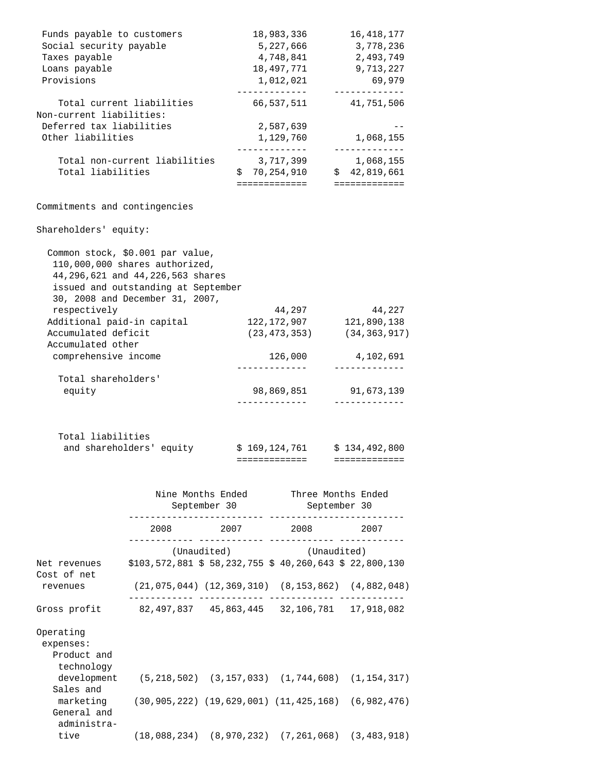| 5,227,666<br>4,748,841<br>18,497,771<br>1,012,021<br>_____________<br>2,587,639<br>1,129,760 | 3,778,236<br>2,493,749<br>9,713,227<br>69,979<br>-------------<br>66,537,511 41,751,506                                                                                    |
|----------------------------------------------------------------------------------------------|----------------------------------------------------------------------------------------------------------------------------------------------------------------------------|
|                                                                                              |                                                                                                                                                                            |
|                                                                                              |                                                                                                                                                                            |
|                                                                                              |                                                                                                                                                                            |
|                                                                                              |                                                                                                                                                                            |
|                                                                                              |                                                                                                                                                                            |
|                                                                                              |                                                                                                                                                                            |
|                                                                                              | 1,068,155                                                                                                                                                                  |
| -------------<br>3,717,399                                                                   | -------------<br>1,068,155                                                                                                                                                 |
|                                                                                              |                                                                                                                                                                            |
|                                                                                              |                                                                                                                                                                            |
|                                                                                              |                                                                                                                                                                            |
|                                                                                              |                                                                                                                                                                            |
|                                                                                              |                                                                                                                                                                            |
| 44,297                                                                                       | 44,227                                                                                                                                                                     |
| 122, 172, 907 121, 890, 138                                                                  |                                                                                                                                                                            |
|                                                                                              | $(23, 473, 353)$ $(34, 363, 917)$                                                                                                                                          |
| 126,000                                                                                      | 4,102,691                                                                                                                                                                  |
| -------------                                                                                | -------------                                                                                                                                                              |
|                                                                                              | $$70,254,910$ $$42,819,661$<br>=============   =============<br>44,296,621 and 44,226,563 shares<br>issued and outstanding at September<br>30, 2008 and December 31, 2007, |

| \$169,124,761 | \$134,492,800 |
|---------------|---------------|
|               |               |

|                                                                                  |                                                              | Nine Months Ended Three Months Ended<br>September 30              | September 30 |  |
|----------------------------------------------------------------------------------|--------------------------------------------------------------|-------------------------------------------------------------------|--------------|--|
|                                                                                  |                                                              | 2008 2007 2008 2007                                               |              |  |
|                                                                                  |                                                              | (Unaudited) (Unaudited)                                           |              |  |
| Net revenues \$103,572,881 \$58,232,755 \$40,260,643 \$22,800,130<br>Cost of net |                                                              |                                                                   |              |  |
| revenues                                                                         |                                                              | $(21, 075, 044)$ $(12, 369, 310)$ $(8, 153, 862)$ $(4, 882, 048)$ |              |  |
| Gross profit 82,497,837 45,863,445 32,106,781 17,918,082                         |                                                              |                                                                   |              |  |
| Operating<br>expenses:<br>Product and<br>technology                              |                                                              |                                                                   |              |  |
| Sales and                                                                        | development (5,218,502) (3,157,033) (1,744,608) (1,154,317)  |                                                                   |              |  |
| General and<br>administra-                                                       | marketing (30,905,222) (19,629,001) (11,425,168) (6,982,476) |                                                                   |              |  |
|                                                                                  | tive (18,088,234) (8,970,232) (7,261,068) (3,483,918)        |                                                                   |              |  |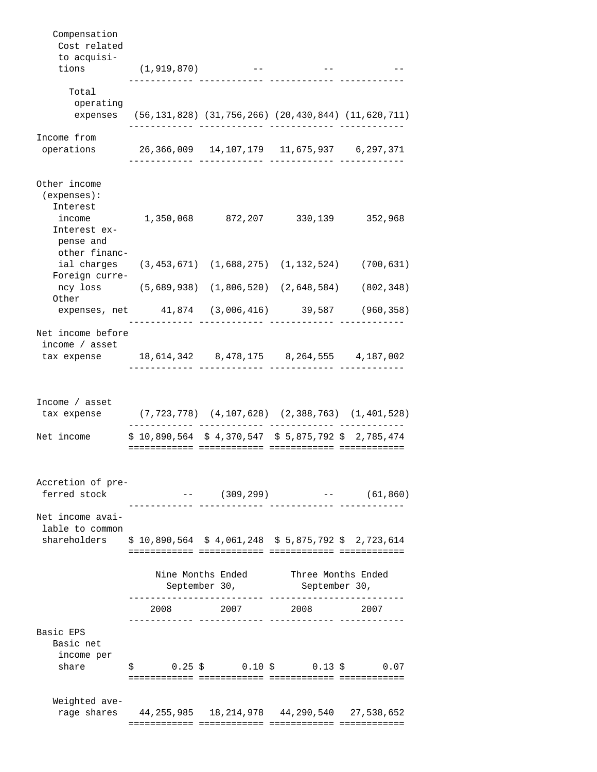| Compensation<br>Cost related                                                                         |                                                                                                         |                                                                     |                              |                                                                     |
|------------------------------------------------------------------------------------------------------|---------------------------------------------------------------------------------------------------------|---------------------------------------------------------------------|------------------------------|---------------------------------------------------------------------|
| to acquisi-                                                                                          |                                                                                                         |                                                                     |                              |                                                                     |
| tions                                                                                                | (1,919,870)                                                                                             | and the state of the state of the state                             |                              |                                                                     |
| Total<br>operating                                                                                   |                                                                                                         |                                                                     |                              |                                                                     |
| expenses                                                                                             |                                                                                                         |                                                                     |                              | $(56, 131, 828)$ $(31, 756, 266)$ $(20, 430, 844)$ $(11, 620, 711)$ |
| Income from                                                                                          |                                                                                                         |                                                                     |                              |                                                                     |
| operations                                                                                           |                                                                                                         |                                                                     |                              |                                                                     |
| Other income<br>(expenses):<br>Interest<br>Interest ex-<br>pense and                                 | income 1,350,068 872,207 330,139 352,968                                                                |                                                                     |                              |                                                                     |
| other financ-                                                                                        | ial charges (3,453,671) (1,688,275) (1,132,524) (700,631)                                               |                                                                     |                              |                                                                     |
| Foreign curre-<br>Other                                                                              | ncy loss (5,689,938) (1,806,520) (2,648,584) (802,348)                                                  |                                                                     |                              |                                                                     |
|                                                                                                      | expenses, net 41,874 (3,006,416) 39,587 (960,358)                                                       |                                                                     |                              |                                                                     |
| Net income before                                                                                    |                                                                                                         |                                                                     |                              |                                                                     |
| income / asset<br>tax expense 18,614,342 8,478,175 8,264,555 4,187,002                               |                                                                                                         |                                                                     |                              |                                                                     |
| Income / asset<br>tax expense<br>Net income                                                          | (7,723,778) (4,107,628) (2,388,763) (1,401,528)<br>$$10,890,564 \t$4,370,547 \t$5,875,792 \t$2,785,474$ |                                                                     |                              |                                                                     |
|                                                                                                      |                                                                                                         |                                                                     |                              |                                                                     |
| Accretion of pre-<br>ferred stock                                                                    |                                                                                                         |                                                                     | ________ _____________ _____ | $---$ (309,299) $---$ (61,860)                                      |
| Net income avai-<br>lable to common<br>shareholders \$10,890,564 \$4,061,248 \$5,875,792 \$2,723,614 |                                                                                                         |                                                                     |                              |                                                                     |
|                                                                                                      |                                                                                                         | Nine Months Ended Three Months Ended<br>September 30, September 30, |                              |                                                                     |
|                                                                                                      |                                                                                                         | 2008 2007 2008 2007                                                 |                              |                                                                     |
| Basic EPS<br>Basic net<br>income per                                                                 |                                                                                                         |                                                                     |                              |                                                                     |
| share                                                                                                | $$0.25 \text{ }$ \$ 0.10 \$ 0.13 \$ 0.07                                                                |                                                                     |                              |                                                                     |
| Weighted ave-                                                                                        | rage shares 44, 255, 985 18, 214, 978 44, 290, 540 27, 538, 652                                         |                                                                     |                              |                                                                     |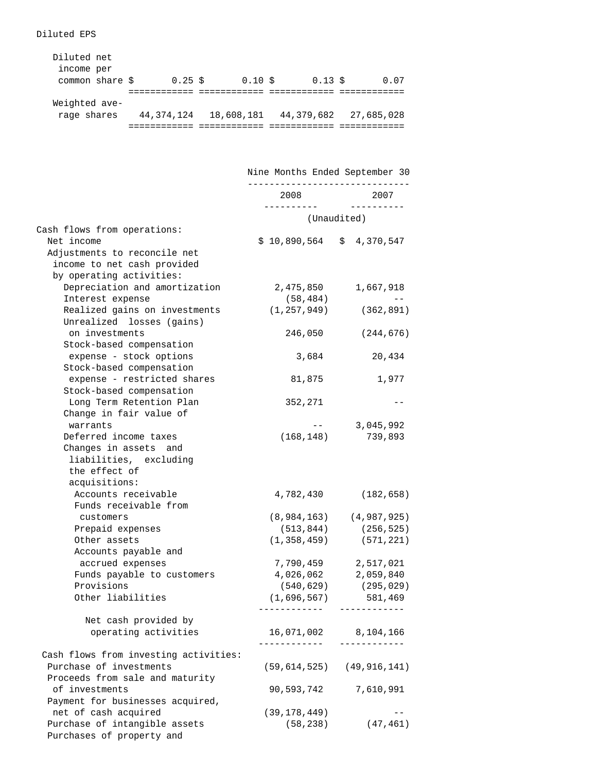Diluted EPS

| Diluted net<br>income per<br>common share \$ | $0.25 \text{ }$ \$ | $0.10 \text{ s}$ | $0.13 \text{ }$ \$ | 0.07       |
|----------------------------------------------|--------------------|------------------|--------------------|------------|
|                                              |                    |                  |                    |            |
| Weighted ave-                                |                    |                  |                    |            |
| rage shares                                  | 44,374,124         | 18,608,181       | 44,379,682         | 27,685,028 |
|                                              |                    |                  |                    |            |

 Nine Months Ended September 30 ------------------------------ 2008 2007 ---------- ---------- (Unaudited) Cash flows from operations: Net income  $$ 10,890,564 $ 4,370,547$  Adjustments to reconcile net income to net cash provided by operating activities: Depreciation and amortization 2,475,850 1,667,918 Interest expense (58,484) -- Realized gains on investments (1,257,949) (362,891) Unrealized losses (gains) on investments 246,050 (244,676) Stock-based compensation expense - stock options 3,684 20,434 Stock-based compensation expense - restricted shares 81,875 1,977 Stock-based compensation Long Term Retention Plan 352,271 -- Change in fair value of warrants -- 3,045,992 Deferred income taxes (168,148) 739,893 Changes in assets and liabilities, excluding the effect of acquisitions: Accounts receivable 4,782,430 (182,658) Funds receivable from customers (8,984,163) (4,987,925) Prepaid expenses (513,844) (256,525) Other assets (1,358,459) (571,221) Accounts payable and accrued expenses 7,790,459 2,517,021 Funds payable to customers 4,026,062 2,059,840<br>Provisions (540,629) (295,029) Provisions (540,629) Other liabilities (1,696,567) 581,469 ------------ ------------ Net cash provided by operating activities 16,071,002 8,104,166 ------------ ------------ Cash flows from investing activities: Purchase of investments (59,614,525) (49,916,141) Proceeds from sale and maturity of investments 90,593,742 7,610,991 Payment for businesses acquired, net of cash acquired (39,178,449) --Purchase of intangible assets (58,238) (47,461)

Purchases of property and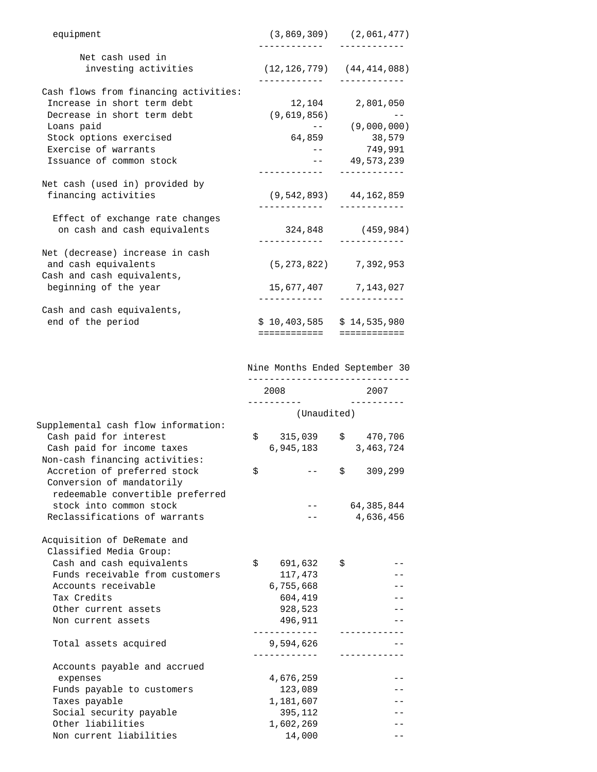| equipment                             |                                   | $(3,869,309)$ $(2,061,477)$  |
|---------------------------------------|-----------------------------------|------------------------------|
| Net cash used in                      |                                   |                              |
| investing activities                  | $(12, 126, 779)$ $(44, 414, 088)$ |                              |
| Cash flows from financing activities: |                                   |                              |
|                                       |                                   |                              |
| Increase in short term debt           |                                   | 12,104 2,801,050             |
| Decrease in short term debt           | (9,619,856)                       |                              |
| Loans paid                            |                                   | $---(9,000,000)$             |
| Stock options exercised               |                                   | 64,859 38,579                |
| Exercise of warrants                  |                                   | $--$ 749.991                 |
| Issuance of common stock              |                                   | $-- 49.573.239$              |
|                                       |                                   |                              |
| Net cash (used in) provided by        |                                   |                              |
| financing activities                  |                                   | $(9, 542, 893)$ 44, 162, 859 |
| Effect of exchange rate changes       |                                   |                              |
| on cash and cash equivalents          | 324,848 (459,984)                 |                              |
|                                       |                                   |                              |
| Net (decrease) increase in cash       |                                   |                              |
| and cash equivalents                  |                                   | $(5, 273, 822)$ 7, 392, 953  |
| Cash and cash equivalents,            |                                   |                              |
| beginning of the year                 |                                   | 15,677,407 7,143,027         |
|                                       |                                   |                              |
| Cash and cash equivalents,            |                                   |                              |
| end of the period                     | $$10,403,585 \t$14,535,980$       |                              |
|                                       | ============                      | ============                 |

|                                     |                     | Nine Months Ended September 30 |            |                    |  |
|-------------------------------------|---------------------|--------------------------------|------------|--------------------|--|
|                                     | 2008<br>----------- |                                |            | 2007<br>---------- |  |
|                                     | (Unaudited)         |                                |            |                    |  |
| Supplemental cash flow information: |                     |                                |            |                    |  |
| Cash paid for interest              | \$                  |                                |            | 315,039 \$ 470,706 |  |
| Cash paid for income taxes          |                     | 6,945,183                      |            | 3,463,724          |  |
| Non-cash financing activities:      |                     |                                |            |                    |  |
| Accretion of preferred stock        | \$                  |                                | $\ddot{s}$ | 309,299            |  |
| Conversion of mandatorily           |                     |                                |            |                    |  |
| redeemable convertible preferred    |                     |                                |            |                    |  |
| stock into common stock             |                     |                                |            | 64, 385, 844       |  |
| Reclassifications of warrants       |                     |                                |            | 4,636,456          |  |
| Acquisition of DeRemate and         |                     |                                |            |                    |  |
| Classified Media Group:             |                     |                                |            |                    |  |
| Cash and cash equivalents           |                     | \$691,632                      | \$         |                    |  |
| Funds receivable from customers     |                     | 117,473                        |            |                    |  |
| Accounts receivable                 |                     | 6,755,668                      |            |                    |  |
| Tax Credits                         |                     | 604,419                        |            |                    |  |
| Other current assets                |                     | 928,523                        |            |                    |  |
| Non current assets                  |                     | 496,911                        |            |                    |  |
|                                     |                     |                                |            |                    |  |
| Total assets acquired               |                     | 9,594,626                      |            |                    |  |
|                                     |                     |                                |            |                    |  |
| Accounts payable and accrued        |                     |                                |            |                    |  |
| expenses                            |                     | 4,676,259                      |            |                    |  |
| Funds payable to customers          |                     | 123,089                        |            |                    |  |
| Taxes payable                       |                     | 1,181,607                      |            |                    |  |
| Social security payable             |                     | 395,112                        |            |                    |  |
| Other liabilities                   |                     | 1,602,269                      |            |                    |  |
| Non current liabilities             |                     | 14,000                         |            |                    |  |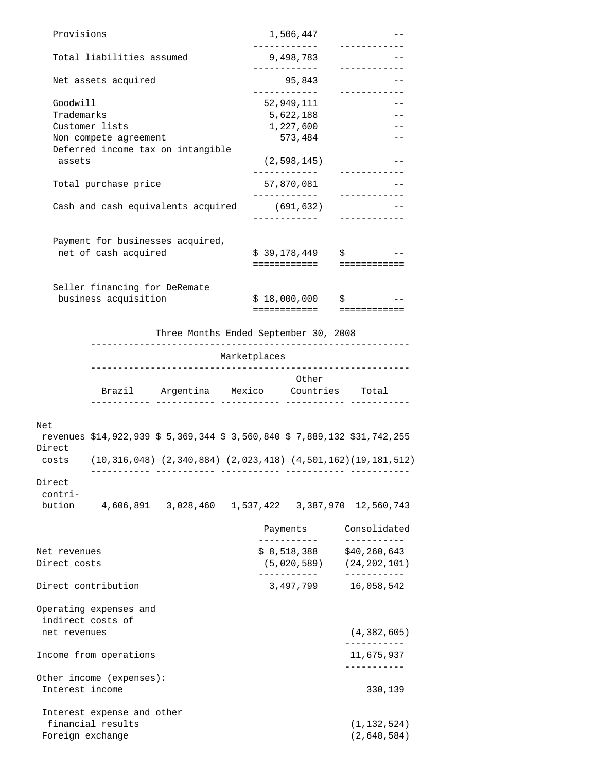| Provisions       |                               |                                                                           |              | 1,506,447<br>____________ | ------------                                 |  |
|------------------|-------------------------------|---------------------------------------------------------------------------|--------------|---------------------------|----------------------------------------------|--|
|                  | Total liabilities assumed     |                                                                           |              | 9,498,783                 |                                              |  |
|                  | Net assets acquired           |                                                                           |              | 95,843                    | ____________                                 |  |
|                  |                               |                                                                           |              | -------------             | ____________                                 |  |
| Goodwill         |                               |                                                                           |              | 52,949,111                |                                              |  |
| Trademarks       |                               |                                                                           |              | 5,622,188                 |                                              |  |
|                  | Customer lists                |                                                                           |              | 1,227,600                 |                                              |  |
|                  | Non compete agreement         |                                                                           |              | 573,484                   | $- -$                                        |  |
| assets           |                               | Deferred income tax on intangible                                         |              | (2, 598, 145)             |                                              |  |
|                  | Total purchase price          |                                                                           |              | 57,870,081                | ------------                                 |  |
|                  |                               |                                                                           |              | ____________              | ------------                                 |  |
|                  |                               | Cash and cash equivalents acquired                                        |              | (691, 632)                |                                              |  |
|                  |                               |                                                                           | ------------ |                           | ------------                                 |  |
|                  |                               |                                                                           |              |                           |                                              |  |
|                  |                               | Payment for businesses acquired,                                          |              |                           |                                              |  |
|                  | net of cash acquired          |                                                                           |              | \$39,178,449              | $\ddot{S}$                                   |  |
|                  |                               |                                                                           |              | ============              | ============                                 |  |
|                  |                               |                                                                           |              |                           |                                              |  |
|                  | Seller financing for DeRemate |                                                                           |              |                           |                                              |  |
|                  | business acquisition          |                                                                           |              | \$18,000,000              | $\mathcal{S}$ , and the set of $\mathcal{S}$ |  |
|                  |                               |                                                                           |              |                           | ==========================                   |  |
|                  |                               |                                                                           |              |                           |                                              |  |
|                  |                               | Three Months Ended September 30, 2008<br>-------------------------        |              |                           |                                              |  |
|                  |                               |                                                                           | Marketplaces |                           |                                              |  |
|                  |                               |                                                                           |              |                           |                                              |  |
|                  |                               |                                                                           |              |                           |                                              |  |
|                  |                               |                                                                           |              | Other                     |                                              |  |
|                  |                               | Brazil Argentina Mexico Countries Total                                   |              |                           |                                              |  |
|                  |                               |                                                                           |              |                           |                                              |  |
|                  |                               |                                                                           |              |                           |                                              |  |
| Net              |                               | revenues \$14,922,939 \$ 5,369,344 \$ 3,560,840 \$ 7,889,132 \$31,742,255 |              |                           |                                              |  |
| Direct           |                               |                                                                           |              |                           |                                              |  |
|                  |                               | costs (10,316,048) (2,340,884) (2,023,418) (4,501,162) (19,181,512)       |              |                           |                                              |  |
|                  |                               |                                                                           |              |                           |                                              |  |
| Direct           |                               |                                                                           |              |                           |                                              |  |
| contri-          |                               |                                                                           |              |                           |                                              |  |
| bution           |                               |                                                                           |              |                           |                                              |  |
|                  |                               |                                                                           |              |                           |                                              |  |
|                  |                               |                                                                           |              | Payments                  | Consolidated                                 |  |
|                  |                               |                                                                           |              | . _ _ _ _ _ _ _ _ _       | ___________                                  |  |
| Net revenues     |                               |                                                                           |              |                           | $$8,518,388$ $$40,260,643$                   |  |
| Direct costs     |                               |                                                                           |              |                           | $(5,020,589)$ $(24,202,101)$                 |  |
|                  |                               |                                                                           |              | ____________              | $- - - - - - - - - -$                        |  |
|                  | Direct contribution           |                                                                           |              | 3,497,799                 | 16,058,542                                   |  |
|                  |                               |                                                                           |              |                           |                                              |  |
|                  | Operating expenses and        |                                                                           |              |                           |                                              |  |
|                  | indirect costs of             |                                                                           |              |                           |                                              |  |
| net revenues     |                               |                                                                           |              |                           | (4, 382, 605)                                |  |
|                  |                               |                                                                           |              |                           | ___________                                  |  |
|                  | Income from operations        |                                                                           |              |                           | 11,675,937                                   |  |
|                  |                               |                                                                           |              |                           | ___________                                  |  |
|                  | Other income (expenses):      |                                                                           |              |                           |                                              |  |
| Interest income  |                               |                                                                           |              |                           | 330,139                                      |  |
|                  |                               |                                                                           |              |                           |                                              |  |
|                  |                               |                                                                           |              |                           |                                              |  |
|                  | Interest expense and other    |                                                                           |              |                           |                                              |  |
| Foreign exchange | financial results             |                                                                           |              |                           | (1, 132, 524)<br>(2,648,584)                 |  |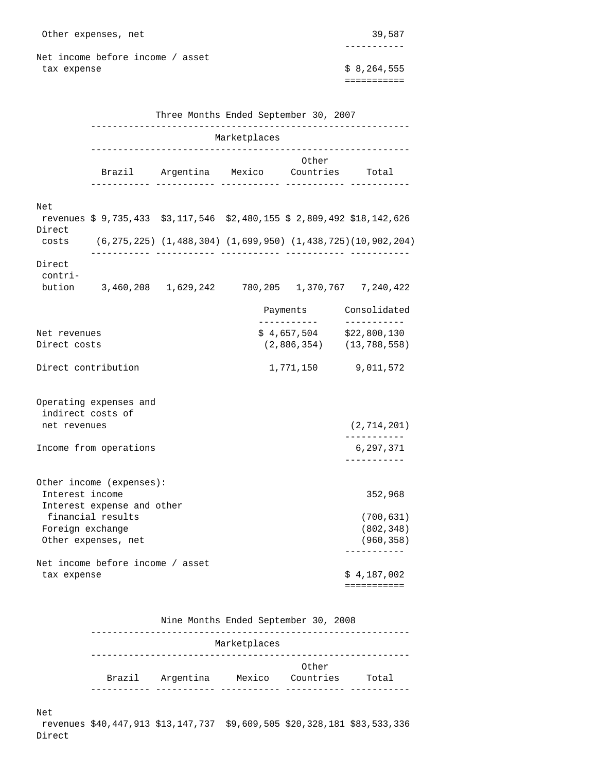Net income before income / asset tax expense  $\frac{1}{2}$  8,264,555

===========

-----------

|                                   |                                                        | Three Months Ended September 30, 2007   |              |                                            |                                                                                  |
|-----------------------------------|--------------------------------------------------------|-----------------------------------------|--------------|--------------------------------------------|----------------------------------------------------------------------------------|
|                                   |                                                        |                                         | Marketplaces |                                            |                                                                                  |
|                                   |                                                        | Brazil Argentina Mexico Countries Total |              | Other                                      |                                                                                  |
| Net                               |                                                        |                                         |              |                                            | revenues $$9,735,433$ $$3,117,546$ $$2,480,155$ $$2,809,492$ $$18,142,626$       |
| Direct<br>costs                   |                                                        |                                         |              |                                            | $(6, 275, 225)$ $(1, 488, 304)$ $(1, 699, 950)$ $(1, 438, 725)$ $(10, 902, 204)$ |
| Direct<br>contri-                 | bution 3,460,208 1,629,242 780,205 1,370,767 7,240,422 |                                         |              |                                            |                                                                                  |
|                                   |                                                        |                                         |              |                                            | Payments Consolidated                                                            |
| Net revenues<br>Direct costs      |                                                        |                                         |              | ____________<br>\$4,657,504<br>(2,886,354) | -----------<br>\$22,800,130<br>(13, 788, 558)                                    |
| Direct contribution               |                                                        |                                         |              | 1,771,150                                  | 9,011,572                                                                        |
| indirect costs of<br>net revenues | Operating expenses and                                 |                                         |              |                                            | (2, 714, 201)<br>___________                                                     |
|                                   | Income from operations                                 |                                         |              |                                            | 6,297,371<br>___________                                                         |
| Interest income                   | Other income (expenses):<br>Interest expense and other |                                         |              |                                            | 352,968                                                                          |
| Foreign exchange                  | financial results<br>Other expenses, net               |                                         |              |                                            | (700, 631)<br>(802, 348)<br>(960, 358)<br>-----------                            |
| tax expense                       | Net income before income / asset                       |                                         |              |                                            | \$4,187,002<br>===========                                                       |
|                                   |                                                        |                                         |              |                                            |                                                                                  |

# Nine Months Ended September 30, 2008 ----------------------------------------------------------- Marketplaces ----------------------------------------------------------- Other Brazil Argentina Mexico Countries Total ----------- ----------- ----------- ----------- -----------

#### Net

 revenues \$40,447,913 \$13,147,737 \$9,609,505 \$20,328,181 \$83,533,336 Direct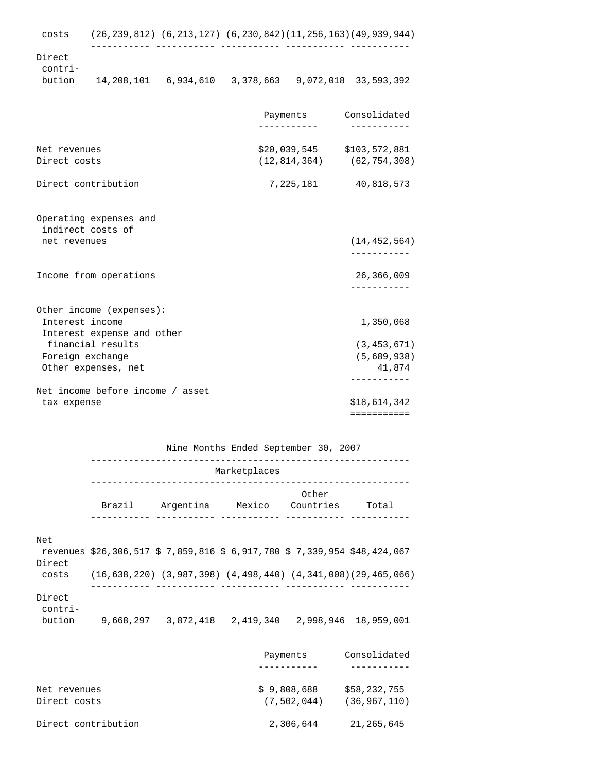----------- ----------- ----------- ----------- -----------

 Direct contri-

bution 14,208,101 6,934,610 3,378,663 9,072,018 33,593,392

|                                               | ----------- | Payments Consolidated<br>-----------                          |
|-----------------------------------------------|-------------|---------------------------------------------------------------|
| Net revenues<br>Direct costs                  |             | $$20,039,545$ $$103,572,881$<br>$(12, 814, 364)$ (62,754,308) |
| Direct contribution                           |             | 7, 225, 181 40, 818, 573                                      |
| Operating expenses and<br>indirect costs of   |             |                                                               |
| net revenues                                  |             | (14, 452, 564)<br>-----------                                 |
| Income from operations                        |             | 26,366,009<br>___________                                     |
| Other income (expenses):                      |             |                                                               |
| Interest income<br>Interest expense and other |             | 1,350,068                                                     |
| financial results                             |             | (3, 453, 671)                                                 |
| Foreign exchange                              |             | (5,689,938)                                                   |
| Other expenses, net                           |             | 41,874                                                        |
| Net income before income / asset              |             | -----------                                                   |
| tax expense                                   |             | \$18,614,342                                                  |
|                                               |             | ===========                                                   |

Nine Months Ended September 30, 2007

|                             | Marketplaces |                                                                           |        |                    |                                                                                   |  |
|-----------------------------|--------------|---------------------------------------------------------------------------|--------|--------------------|-----------------------------------------------------------------------------------|--|
|                             | Brazil       | Argentina                                                                 | Mexico | Other<br>Countries | Total                                                                             |  |
| Net<br>Direct               |              | revenues \$26,306,517 \$ 7,859,816 \$ 6,917,780 \$ 7,339,954 \$48,424,067 |        |                    |                                                                                   |  |
| costs                       |              |                                                                           |        |                    | $(16, 638, 220)$ $(3, 987, 398)$ $(4, 498, 440)$ $(4, 341, 008)$ $(29, 465, 066)$ |  |
| Direct<br>contri-<br>bution |              |                                                                           |        |                    |                                                                                   |  |

|                     | Payments    | Consolidated   |
|---------------------|-------------|----------------|
|                     |             |                |
| Net revenues        | \$9,808,688 | \$58,232,755   |
| Direct costs        | (7.502.044) | (36, 967, 110) |
| Direct contribution | 2,306,644   | 21, 265, 645   |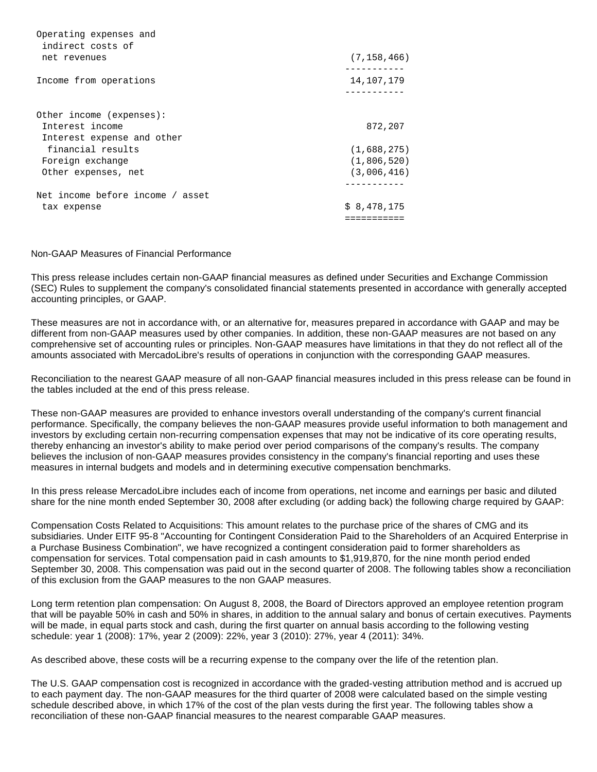| Operating expenses and<br>indirect costs of |               |
|---------------------------------------------|---------------|
| net revenues                                | (7, 158, 466) |
| Income from operations                      | 14,107,179    |
|                                             |               |
| Other income (expenses):                    |               |
| Interest income                             | 872,207       |
| Interest expense and other                  |               |
| financial results                           | (1,688,275)   |
| Foreign exchange                            | (1,806,520)   |
| Other expenses, net                         | (3,006,416)   |
| Net income before income / asset            |               |
| tax expense                                 | \$8,478,175   |
|                                             |               |

## Non-GAAP Measures of Financial Performance

This press release includes certain non-GAAP financial measures as defined under Securities and Exchange Commission (SEC) Rules to supplement the company's consolidated financial statements presented in accordance with generally accepted accounting principles, or GAAP.

These measures are not in accordance with, or an alternative for, measures prepared in accordance with GAAP and may be different from non-GAAP measures used by other companies. In addition, these non-GAAP measures are not based on any comprehensive set of accounting rules or principles. Non-GAAP measures have limitations in that they do not reflect all of the amounts associated with MercadoLibre's results of operations in conjunction with the corresponding GAAP measures.

Reconciliation to the nearest GAAP measure of all non-GAAP financial measures included in this press release can be found in the tables included at the end of this press release.

These non-GAAP measures are provided to enhance investors overall understanding of the company's current financial performance. Specifically, the company believes the non-GAAP measures provide useful information to both management and investors by excluding certain non-recurring compensation expenses that may not be indicative of its core operating results, thereby enhancing an investor's ability to make period over period comparisons of the company's results. The company believes the inclusion of non-GAAP measures provides consistency in the company's financial reporting and uses these measures in internal budgets and models and in determining executive compensation benchmarks.

In this press release MercadoLibre includes each of income from operations, net income and earnings per basic and diluted share for the nine month ended September 30, 2008 after excluding (or adding back) the following charge required by GAAP:

Compensation Costs Related to Acquisitions: This amount relates to the purchase price of the shares of CMG and its subsidiaries. Under EITF 95-8 "Accounting for Contingent Consideration Paid to the Shareholders of an Acquired Enterprise in a Purchase Business Combination", we have recognized a contingent consideration paid to former shareholders as compensation for services. Total compensation paid in cash amounts to \$1,919,870, for the nine month period ended September 30, 2008. This compensation was paid out in the second quarter of 2008. The following tables show a reconciliation of this exclusion from the GAAP measures to the non GAAP measures.

Long term retention plan compensation: On August 8, 2008, the Board of Directors approved an employee retention program that will be payable 50% in cash and 50% in shares, in addition to the annual salary and bonus of certain executives. Payments will be made, in equal parts stock and cash, during the first quarter on annual basis according to the following vesting schedule: year 1 (2008): 17%, year 2 (2009): 22%, year 3 (2010): 27%, year 4 (2011): 34%.

As described above, these costs will be a recurring expense to the company over the life of the retention plan.

The U.S. GAAP compensation cost is recognized in accordance with the graded-vesting attribution method and is accrued up to each payment day. The non-GAAP measures for the third quarter of 2008 were calculated based on the simple vesting schedule described above, in which 17% of the cost of the plan vests during the first year. The following tables show a reconciliation of these non-GAAP financial measures to the nearest comparable GAAP measures.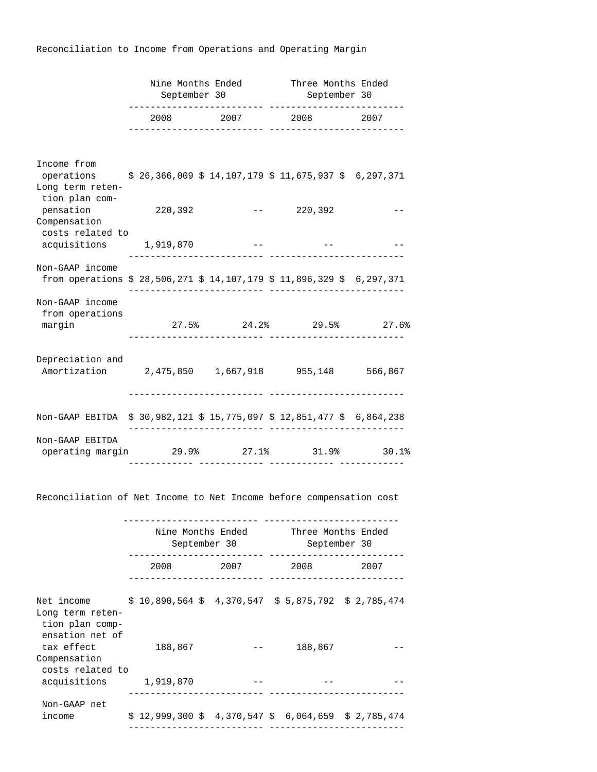Reconciliation to Income from Operations and Operating Margin

|                                                                                                               | September 30 |  |                | Nine Months Ended Three Months Ended<br>September 30 |                                  |      |
|---------------------------------------------------------------------------------------------------------------|--------------|--|----------------|------------------------------------------------------|----------------------------------|------|
|                                                                                                               |              |  | 2008 2007 2008 |                                                      | ------ ------------------------- | 2007 |
| Income from                                                                                                   |              |  |                |                                                      |                                  |      |
| operations \$ 26,366,009 \$ 14,107,179 \$ 11,675,937 \$ 6,297,371<br>Long term reten-<br>tion plan com-       |              |  |                |                                                      |                                  |      |
| pensation<br>Compensation<br>costs related to                                                                 | 220,392      |  |                |                                                      | $-- 220,392$                     |      |
| acquisitions 1,919,870                                                                                        |              |  |                |                                                      |                                  |      |
| Non-GAAP income<br>from operations $$28,506,271 $14,107,179 $11,896,329 $6,297,371$                           |              |  |                |                                                      |                                  |      |
| Non-GAAP income<br>from operations                                                                            |              |  |                |                                                      |                                  |      |
| margin                                                                                                        |              |  |                |                                                      | $27.5\%$ 24.2% 29.5% 27.6%       |      |
| Depreciation and<br>Amortization 2,475,850 1,667,918 955,148 566,867                                          |              |  |                |                                                      |                                  |      |
| Non-GAAP EBITDA \$ 30,982,121 \$ 15,775,097 \$ 12,851,477 \$ 6,864,238                                        |              |  |                |                                                      |                                  |      |
| Non-GAAP EBITDA<br>operating margin $29.9$ <sup>8</sup> 27.1 <sup>8</sup> 31.9 <sup>8</sup> 30.1 <sup>8</sup> |              |  |                |                                                      |                                  |      |

Reconciliation of Net Income to Net Income before compensation cost

|                                                                                                        | Nine Months Ended<br>September 30                                         |  |                                                                                                                                                                                                                                 |  | Three Months Ended<br>September 30 |  |      |  |
|--------------------------------------------------------------------------------------------------------|---------------------------------------------------------------------------|--|---------------------------------------------------------------------------------------------------------------------------------------------------------------------------------------------------------------------------------|--|------------------------------------|--|------|--|
|                                                                                                        | 2008                                                                      |  | 2007 — 2007 — 2008 — 2008 — 2008 — 2008 — 2008 — 2008 — 2008 — 2008 — 2008 — 2008 — 2008 — 2008 — 2008 — 2008 — 2008 — 2008 — 2008 — 2008 — 2008 — 2008 — 2008 — 2008 — 2008 — 2008 — 2008 — 2008 — 2008 — 2008 — 2008 — 2008 — |  | 2008                               |  | 2007 |  |
| Net income \$ 10,890,564 \$ 4,370,547 \$ 5,875,792 \$ 2,785,474<br>Long term reten-<br>tion plan comp- |                                                                           |  |                                                                                                                                                                                                                                 |  |                                    |  |      |  |
| ensation net of<br>tax effect<br>Compensation<br>costs related to                                      | 188,867                                                                   |  |                                                                                                                                                                                                                                 |  | 188,867                            |  |      |  |
| acquisitions                                                                                           | 1,919,870                                                                 |  |                                                                                                                                                                                                                                 |  |                                    |  |      |  |
| Non-GAAP net<br>income                                                                                 | $$12,999,300 \text{ } $4,370,547 \text{ } $6,064,659 \text{ } $2,785,474$ |  |                                                                                                                                                                                                                                 |  |                                    |  |      |  |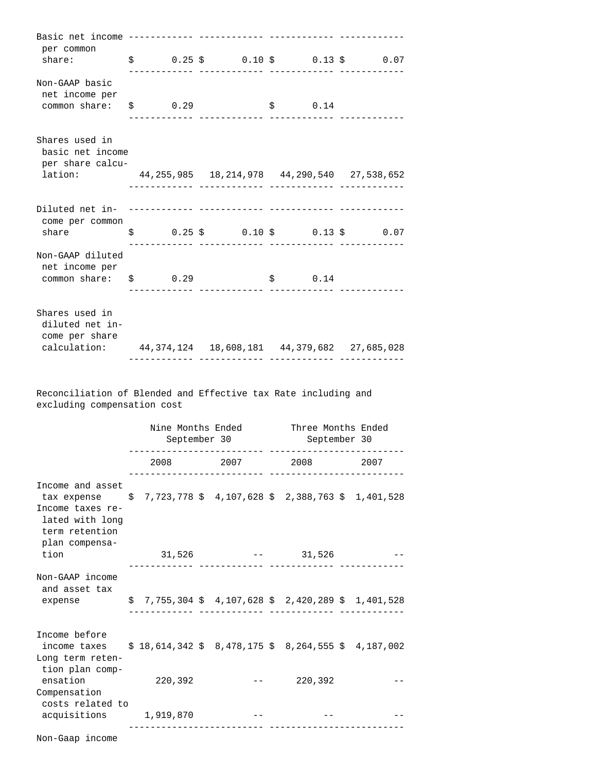| per common<br>share: $\qquad \qquad$ \$ 0.25 \$ 0.10 \$ 0.13 \$ 0.07                                                                                                                                                                               |  |  |             |                                    |
|----------------------------------------------------------------------------------------------------------------------------------------------------------------------------------------------------------------------------------------------------|--|--|-------------|------------------------------------|
| Non-GAAP basic<br>net income per<br>$common share:$ $$$ 0.29                                                                                                                                                                                       |  |  | \$ 0.14     |                                    |
| Shares used in<br>basic net income<br>per share calcu-<br>lation: 44, 255, 985  18, 214, 978  44, 290, 540  27, 538, 652                                                                                                                           |  |  |             |                                    |
| come per common<br>share the state of the state of the state of the state of the state of the state of the state of the state of the state of the state of the state of the state of the state of the state of the state of the state of the state |  |  |             | $$0.25 \t$ 0.10 \t$ 0.13 \t$ 0.07$ |
| Non-GAAP diluted<br>net income per<br>$common share:$ $$$ 0.29                                                                                                                                                                                     |  |  | $\sin 0.14$ |                                    |
| Shares used in<br>diluted net in-<br>come per share<br>calculation: 44, 374, 124  18, 608, 181  44, 379, 682  27, 685, 028                                                                                                                         |  |  |             |                                    |

 Reconciliation of Blended and Effective tax Rate including and excluding compensation cost

|                                                                                                                                                                           | Nine Months Ended<br>September 30                                        |  |                      |              | Three Months Ended<br>September 30 |  |
|---------------------------------------------------------------------------------------------------------------------------------------------------------------------------|--------------------------------------------------------------------------|--|----------------------|--------------|------------------------------------|--|
|                                                                                                                                                                           |                                                                          |  | 2008 2007 2008 2007  |              |                                    |  |
| Income and asset<br>tax expense $\frac{1}{5}$ 7,723,778 \$ 4,107,628 \$ 2,388,763 \$ 1,401,528<br>Income taxes re-<br>lated with long<br>term retention<br>plan compensa- |                                                                          |  |                      |              |                                    |  |
| tion                                                                                                                                                                      |                                                                          |  | $31,526$ -- $31,526$ |              |                                    |  |
| Non-GAAP income<br>and asset tax<br>expense                                                                                                                               | $$7,755,304 \text{ } $4,107,628 \text{ } $2,420,289 \text{ } $1,401,528$ |  |                      |              |                                    |  |
| Income before<br>income taxes $$18,614,342 $8,478,175 $8,264,555 $4,187,002$<br>Long term reten-<br>tion plan comp-                                                       |                                                                          |  |                      |              |                                    |  |
| ensation<br>Compensation                                                                                                                                                  | 220,392                                                                  |  |                      | $--$ 220,392 |                                    |  |
| costs related to<br>acquisitions 1,919,870                                                                                                                                |                                                                          |  |                      |              |                                    |  |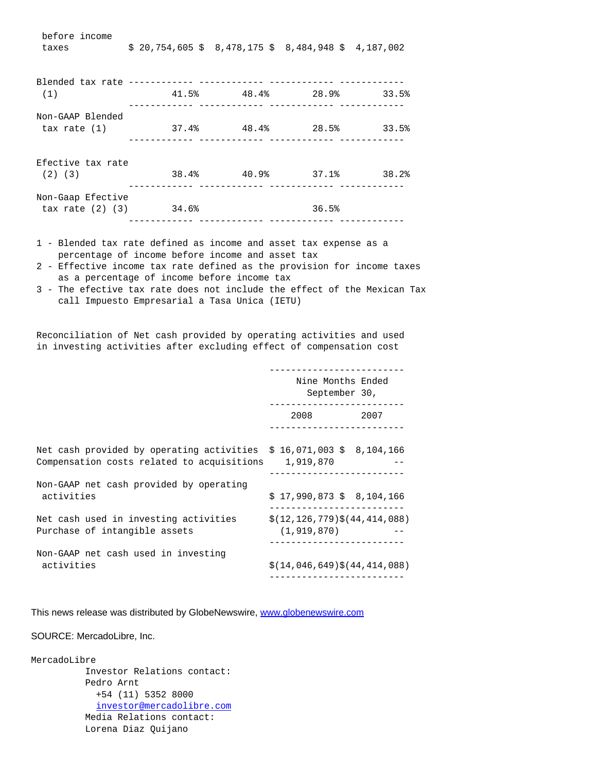| before income<br>taxes                               | $$20,754,605$ \$ 8,478,175 \$ 8,484,948 \$ 4,187,002 |                                                                                 |       |
|------------------------------------------------------|------------------------------------------------------|---------------------------------------------------------------------------------|-------|
| (1)                                                  |                                                      | $41.5%$ $48.4%$ $28.9%$ $33.5%$                                                 |       |
| Non-GAAP Blended<br>tax rate (1)                     |                                                      | $37.4$ <sup>8</sup> $48.4$ <sup>8</sup> $28.5$ <sup>8</sup> $33.5$ <sup>8</sup> |       |
| Efective tax rate<br>$(2)$ $(3)$                     |                                                      | $38.4\%$ $40.9\%$ $37.1\%$                                                      | 38.2% |
| Non-Gaap Efective<br>$\text{tax rate} (2) (3)$ 34.6% |                                                      | 36.5%                                                                           |       |

- 1 Blended tax rate defined as income and asset tax expense as a percentage of income before income and asset tax
- 2 Effective income tax rate defined as the provision for income taxes as a percentage of income before income tax
- 3 The efective tax rate does not include the effect of the Mexican Tax call Impuesto Empresarial a Tasa Unica (IETU)

 Reconciliation of Net cash provided by operating activities and used in investing activities after excluding effect of compensation cost

|                                                                                                                    | Nine Months Ended<br>September 30,<br>----------------- |
|--------------------------------------------------------------------------------------------------------------------|---------------------------------------------------------|
|                                                                                                                    | 2008 2007                                               |
| Net cash provided by operating activities $$16,071,003$ \$ 8,104,166<br>Compensation costs related to acquisitions | 1,919,870                                               |
| Non-GAAP net cash provided by operating<br>activities                                                              | $$17,990,873$$ $$8,104,166$                             |
| Net cash used in investing activities<br>Purchase of intangible assets                                             | $$(12, 126, 779)$ \$ $(44, 414, 088)$<br>(1, 919, 870)  |
| Non-GAAP net cash used in investing<br>activities                                                                  | $$(14, 046, 649)$ $$(44, 414, 088)$                     |

This news release was distributed by GlobeNewswire, [www.globenewswire.com](http://www.globenewswire.com/)

#### SOURCE: MercadoLibre, Inc.

MercadoLibre Investor Relations contact: Pedro Arnt +54 (11) 5352 8000 [investor@mercadolibre.com](mailto:investor@mercadolibre.com) Media Relations contact: Lorena Diaz Quijano